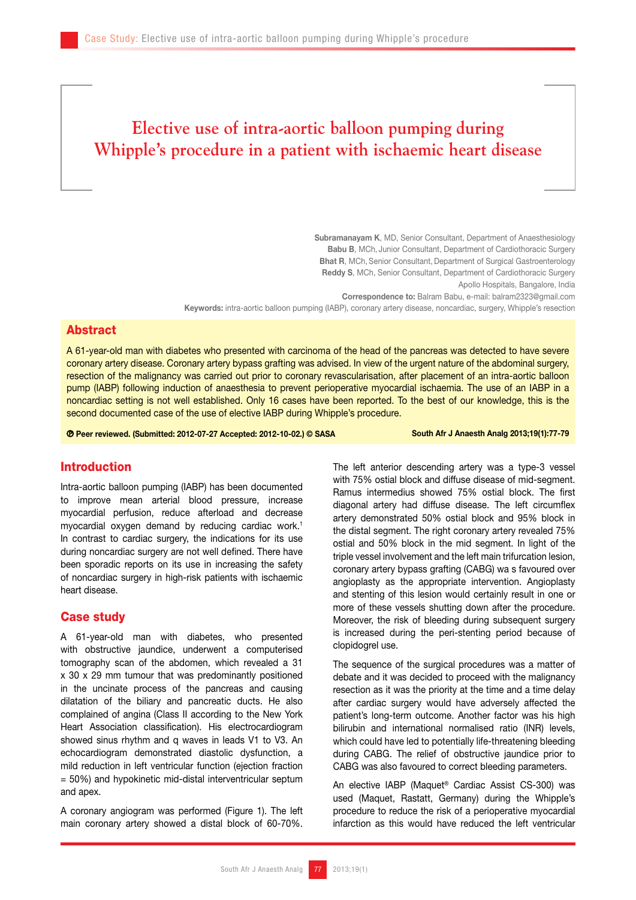# **Elective use of intra-aortic balloon pumping during Whipple's procedure in a patient with ischaemic heart disease**

Subramanayam K, MD, Senior Consultant, Department of Anaesthesiology Babu B, MCh, Junior Consultant, Department of Cardiothoracic Surgery Bhat R, MCh, Senior Consultant, Department of Surgical Gastroenterology Reddy S, MCh, Senior Consultant, Department of Cardiothoracic Surgery Apollo Hospitals, Bangalore, India Correspondence to: Balram Babu, e-mail: balram2323@gmail.com

Keywords: intra-aortic balloon pumping (IABP), coronary artery disease, noncardiac, surgery, Whipple's resection

#### Abstract

A 61-year-old man with diabetes who presented with carcinoma of the head of the pancreas was detected to have severe coronary artery disease. Coronary artery bypass grafting was advised. In view of the urgent nature of the abdominal surgery, resection of the malignancy was carried out prior to coronary revascularisation, after placement of an intra-aortic balloon pump (IABP) following induction of anaesthesia to prevent perioperative myocardial ischaemia. The use of an IABP in a noncardiac setting is not well established. Only 16 cases have been reported. To the best of our knowledge, this is the second documented case of the use of elective IABP during Whipple's procedure.

Peer reviewed. (Submitted: 2012-07-27 Accepted: 2012-10-02.) © SASA South Afr J Anaesth Analg 2013;19(1):77-79

## Introduction

Intra-aortic balloon pumping (IABP) has been documented to improve mean arterial blood pressure, increase myocardial perfusion, reduce afterload and decrease myocardial oxygen demand by reducing cardiac work.<sup>1</sup> In contrast to cardiac surgery, the indications for its use during noncardiac surgery are not well defined. There have been sporadic reports on its use in increasing the safety of noncardiac surgery in high-risk patients with ischaemic heart disease.

#### Case study

A 61-year-old man with diabetes, who presented with obstructive jaundice, underwent a computerised tomography scan of the abdomen, which revealed a 31 x 30 x 29 mm tumour that was predominantly positioned in the uncinate process of the pancreas and causing dilatation of the biliary and pancreatic ducts. He also complained of angina (Class II according to the New York Heart Association classification). His electrocardiogram showed sinus rhythm and q waves in leads V1 to V3. An echocardiogram demonstrated diastolic dysfunction, a mild reduction in left ventricular function (ejection fraction = 50%) and hypokinetic mid-distal interventricular septum and apex.

A coronary angiogram was performed (Figure 1). The left main coronary artery showed a distal block of 60-70%.

The left anterior descending artery was a type-3 vessel with 75% ostial block and diffuse disease of mid-segment. Ramus intermedius showed 75% ostial block. The first diagonal artery had diffuse disease. The left circumflex artery demonstrated 50% ostial block and 95% block in the distal segment. The right coronary artery revealed 75% ostial and 50% block in the mid segment. In light of the triple vessel involvement and the left main trifurcation lesion, coronary artery bypass grafting (CABG) wa s favoured over angioplasty as the appropriate intervention. Angioplasty and stenting of this lesion would certainly result in one or more of these vessels shutting down after the procedure. Moreover, the risk of bleeding during subsequent surgery is increased during the peri-stenting period because of clopidogrel use.

The sequence of the surgical procedures was a matter of debate and it was decided to proceed with the malignancy resection as it was the priority at the time and a time delay after cardiac surgery would have adversely affected the patient's long-term outcome. Another factor was his high bilirubin and international normalised ratio (INR) levels, which could have led to potentially life-threatening bleeding during CABG. The relief of obstructive jaundice prior to CABG was also favoured to correct bleeding parameters.

An elective IABP (Maquet® Cardiac Assist CS-300) was used (Maquet, Rastatt, Germany) during the Whipple's procedure to reduce the risk of a perioperative myocardial infarction as this would have reduced the left ventricular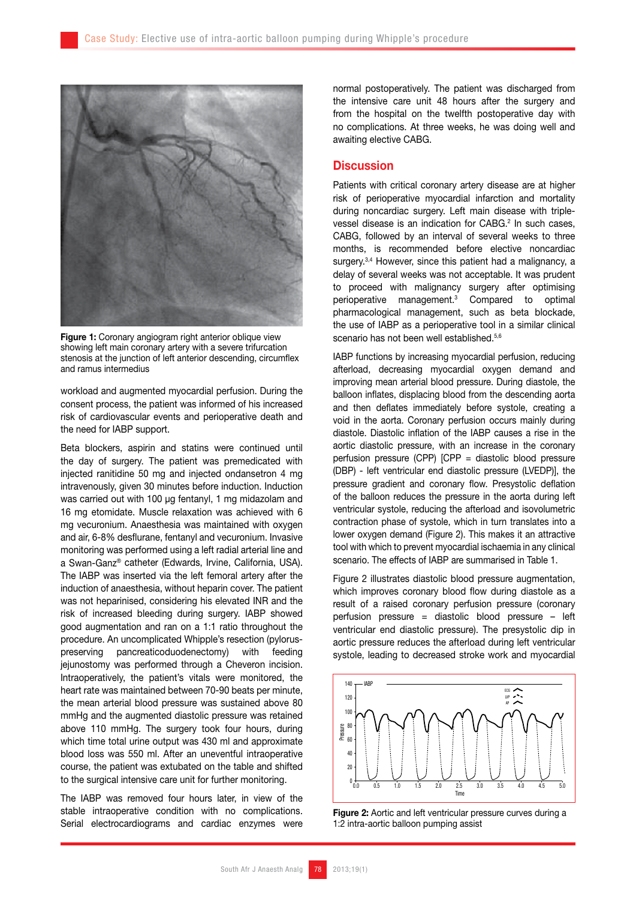

**Figure 1:** Coronary angiogram right anterior oblique view showing left main coronary artery with a severe trifurcation stenosis at the junction of left anterior descending, circumflex and ramus intermedius

workload and augmented myocardial perfusion. During the consent process, the patient was informed of his increased risk of cardiovascular events and perioperative death and the need for IABP support.

Beta blockers, aspirin and statins were continued until the day of surgery. The patient was premedicated with injected ranitidine 50 mg and injected ondansetron 4 mg intravenously, given 30 minutes before induction. Induction was carried out with 100 µg fentanyl, 1 mg midazolam and 16 mg etomidate. Muscle relaxation was achieved with 6 mg vecuronium. Anaesthesia was maintained with oxygen and air, 6-8% desflurane, fentanyl and vecuronium. Invasive monitoring was performed using a left radial arterial line and a Swan-Ganz® catheter (Edwards, Irvine, California, USA). The IABP was inserted via the left femoral artery after the induction of anaesthesia, without heparin cover. The patient was not heparinised, considering his elevated INR and the risk of increased bleeding during surgery. IABP showed good augmentation and ran on a 1:1 ratio throughout the procedure. An uncomplicated Whipple's resection (pyloruspreserving pancreaticoduodenectomy) with feeding jejunostomy was performed through a Cheveron incision. Intraoperatively, the patient's vitals were monitored, the heart rate was maintained between 70-90 beats per minute, the mean arterial blood pressure was sustained above 80 mmHg and the augmented diastolic pressure was retained above 110 mmHg. The surgery took four hours, during which time total urine output was 430 ml and approximate blood loss was 550 ml. After an uneventful intraoperative course, the patient was extubated on the table and shifted to the surgical intensive care unit for further monitoring.

The IABP was removed four hours later, in view of the stable intraoperative condition with no complications. Serial electrocardiograms and cardiac enzymes were

normal postoperatively. The patient was discharged from the intensive care unit 48 hours after the surgery and from the hospital on the twelfth postoperative day with no complications. At three weeks, he was doing well and awaiting elective CABG.

#### **Discussion**

Patients with critical coronary artery disease are at higher risk of perioperative myocardial infarction and mortality during noncardiac surgery. Left main disease with triplevessel disease is an indication for  $CABG<sup>2</sup>$  In such cases, CABG, followed by an interval of several weeks to three months, is recommended before elective noncardiac surgery.<sup>3,4</sup> However, since this patient had a malignancy, a delay of several weeks was not acceptable. It was prudent to proceed with malignancy surgery after optimising perioperative management.3 Compared to optimal pharmacological management, such as beta blockade, the use of IABP as a perioperative tool in a similar clinical scenario has not been well established.<sup>5,6</sup>

IABP functions by increasing myocardial perfusion, reducing afterload, decreasing myocardial oxygen demand and improving mean arterial blood pressure. During diastole, the balloon inflates, displacing blood from the descending aorta and then deflates immediately before systole, creating a void in the aorta. Coronary perfusion occurs mainly during diastole. Diastolic inflation of the IABP causes a rise in the aortic diastolic pressure, with an increase in the coronary perfusion pressure (CPP) [CPP = diastolic blood pressure (DBP) - left ventricular end diastolic pressure (LVEDP)], the pressure gradient and coronary flow. Presystolic deflation of the balloon reduces the pressure in the aorta during left ventricular systole, reducing the afterload and isovolumetric contraction phase of systole, which in turn translates into a lower oxygen demand (Figure 2). This makes it an attractive tool with which to prevent myocardial ischaemia in any clinical scenario. The effects of IABP are summarised in Table 1.

Figure 2 illustrates diastolic blood pressure augmentation, which improves coronary blood flow during diastole as a result of a raised coronary perfusion pressure (coronary perfusion pressure = diastolic blood pressure – left ventricular end diastolic pressure). The presystolic dip in aortic pressure reduces the afterload during left ventricular systole, leading to decreased stroke work and myocardial



Figure 2: Aortic and left ventricular pressure curves during a 1:2 intra-aortic balloon pumping assist